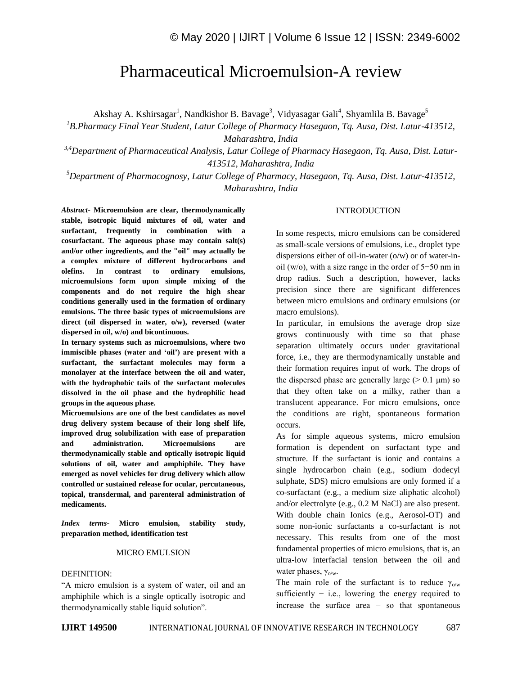# Pharmaceutical Microemulsion-A review

Akshay A. Kshirsagar<sup>1</sup>, Nandkishor B. Bavage<sup>3</sup>, Vidyasagar Gali<sup>4</sup>, Shyamlila B. Bavage<sup>5</sup>

*<sup>1</sup>B.Pharmacy Final Year Student, Latur College of Pharmacy Hasegaon, Tq. Ausa, Dist. Latur-413512, Maharashtra, India*

*3,4Department of Pharmaceutical Analysis, Latur College of Pharmacy Hasegaon, Tq. Ausa, Dist. Latur-413512, Maharashtra, India*

*<sup>5</sup>Department of Pharmacognosy, Latur College of Pharmacy, Hasegaon, Tq. Ausa, Dist. Latur-413512, Maharashtra, India*

*Abstract*- **Microemulsion are clear, thermodynamically stable, isotropic liquid mixtures of oil, water and surfactant, frequently in combination with a cosurfactant. The aqueous phase may contain salt(s) and/or other ingredients, and the "oil" may actually be a complex mixture of different hydrocarbons and olefins. In contrast to ordinary emulsions, microemulsions form upon simple mixing of the components and do not require the high shear conditions generally used in the formation of ordinary emulsions. The three basic types of microemulsions are direct (oil dispersed in water, o/w), reversed (water dispersed in oil, w/o) and bicontinuous.**

**In ternary systems such as microemulsions, where two immiscible phases (water and 'oil') are present with a surfactant, the surfactant molecules may form a monolayer at the interface between the oil and water, with the hydrophobic tails of the surfactant molecules dissolved in the oil phase and the hydrophilic head groups in the aqueous phase.**

**Microemulsions are one of the best candidates as novel drug delivery system because of their long shelf life, improved drug solubilization with ease of preparation and administration. Microemulsions are thermodynamically stable and optically isotropic liquid solutions of oil, water and amphiphile. They have emerged as novel vehicles for drug delivery which allow controlled or sustained release for ocular, percutaneous, topical, transdermal, and parenteral administration of medicaments.**

*Index terms***- Micro emulsion, stability study, preparation method, identification test**

# MICRO EMULSION

#### DEFINITION:

"A micro emulsion is a system of water, oil and an amphiphile which is a single optically isotropic and thermodynamically stable liquid solution".

#### INTRODUCTION

In some respects, micro emulsions can be considered as small-scale versions of emulsions, i.e., droplet type dispersions either of oil-in-water (o/w) or of water-inoil (w/o), with a size range in the order of 5−50 nm in drop radius. Such a description, however, lacks precision since there are significant differences between micro emulsions and ordinary emulsions (or macro emulsions).

In particular, in emulsions the average drop size grows continuously with time so that phase separation ultimately occurs under gravitational force, i.e., they are thermodynamically unstable and their formation requires input of work. The drops of the dispersed phase are generally large  $(> 0.1 \mu m)$  so that they often take on a milky, rather than a translucent appearance. For micro emulsions, once the conditions are right, spontaneous formation occurs.

As for simple aqueous systems, micro emulsion formation is dependent on surfactant type and structure. If the surfactant is ionic and contains a single hydrocarbon chain (e.g., sodium dodecyl sulphate, SDS) micro emulsions are only formed if a co-surfactant (e.g., a medium size aliphatic alcohol) and/or electrolyte (e.g., 0.2 M NaCl) are also present. With double chain Ionics (e.g., Aerosol-OT) and some non-ionic surfactants a co-surfactant is not necessary. This results from one of the most fundamental properties of micro emulsions, that is, an ultra-low interfacial tension between the oil and water phases,  $\gamma_{o/w}$ .

The main role of the surfactant is to reduce  $\gamma_{0/w}$ sufficiently  $-$  i.e., lowering the energy required to increase the surface area − so that spontaneous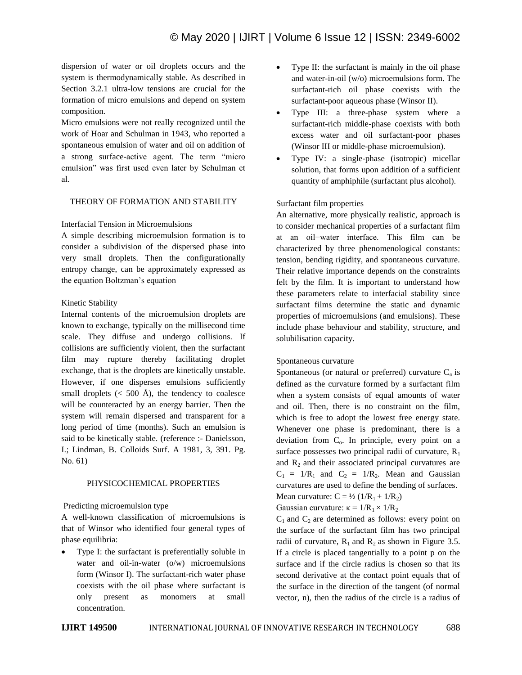dispersion of water or oil droplets occurs and the system is thermodynamically stable. As described in Section 3.2.1 ultra-low tensions are crucial for the formation of micro emulsions and depend on system composition.

Micro emulsions were not really recognized until the work of Hoar and Schulman in 1943, who reported a spontaneous emulsion of water and oil on addition of a strong surface-active agent. The term "micro emulsion" was first used even later by Schulman et al.

# THEORY OF FORMATION AND STABILITY

# Interfacial Tension in Microemulsions

A simple describing microemulsion formation is to consider a subdivision of the dispersed phase into very small droplets. Then the configurationally entropy change, can be approximately expressed as the equation Boltzman's equation

#### Kinetic Stability

Internal contents of the microemulsion droplets are known to exchange, typically on the millisecond time scale. They diffuse and undergo collisions. If collisions are sufficiently violent, then the surfactant film may rupture thereby facilitating droplet exchange, that is the droplets are kinetically unstable. However, if one disperses emulsions sufficiently small droplets ( $<$  500 Å), the tendency to coalesce will be counteracted by an energy barrier. Then the system will remain dispersed and transparent for a long period of time (months). Such an emulsion is said to be kinetically stable. (reference :- Danielsson, I.; Lindman, B. Colloids Surf. A 1981, 3, 391. Pg. No. 61)

#### PHYSICOCHEMICAL PROPERTIES

#### Predicting microemulsion type

A well-known classification of microemulsions is that of Winsor who identified four general types of phase equilibria:

 Type I: the surfactant is preferentially soluble in water and oil-in-water (o/w) microemulsions form (Winsor I). The surfactant-rich water phase coexists with the oil phase where surfactant is only present as monomers at small concentration.

- Type II: the surfactant is mainly in the oil phase and water-in-oil (w/o) microemulsions form. The surfactant-rich oil phase coexists with the surfactant-poor aqueous phase (Winsor II).
- Type III: a three-phase system where a surfactant-rich middle-phase coexists with both excess water and oil surfactant-poor phases (Winsor III or middle-phase microemulsion).
- Type IV: a single-phase (isotropic) micellar solution, that forms upon addition of a sufficient quantity of amphiphile (surfactant plus alcohol).

# Surfactant film properties

An alternative, more physically realistic, approach is to consider mechanical properties of a surfactant film at an oil−water interface. This film can be characterized by three phenomenological constants: tension, bending rigidity, and spontaneous curvature. Their relative importance depends on the constraints felt by the film. It is important to understand how these parameters relate to interfacial stability since surfactant films determine the static and dynamic properties of microemulsions (and emulsions). These include phase behaviour and stability, structure, and solubilisation capacity.

#### Spontaneous curvature

Spontaneous (or natural or preferred) curvature  $C_0$  is defined as the curvature formed by a surfactant film when a system consists of equal amounts of water and oil. Then, there is no constraint on the film, which is free to adopt the lowest free energy state. Whenever one phase is predominant, there is a deviation from  $C_0$ . In principle, every point on a surface possesses two principal radii of curvature,  $R_1$ and  $R_2$  and their associated principal curvatures are  $C_1 = 1/R_1$  and  $C_2 = 1/R_2$ . Mean and Gaussian curvatures are used to define the bending of surfaces. Mean curvature:  $C = \frac{1}{2} (1/R_1 + 1/R_2)$ 

Gaussian curvature:  $\kappa = 1/R_1 \times 1/R_2$ 

 $C_1$  and  $C_2$  are determined as follows: every point on the surface of the surfactant film has two principal radii of curvature,  $R_1$  and  $R_2$  as shown in Figure 3.5. If a circle is placed tangentially to a point p on the surface and if the circle radius is chosen so that its second derivative at the contact point equals that of the surface in the direction of the tangent (of normal vector, n), then the radius of the circle is a radius of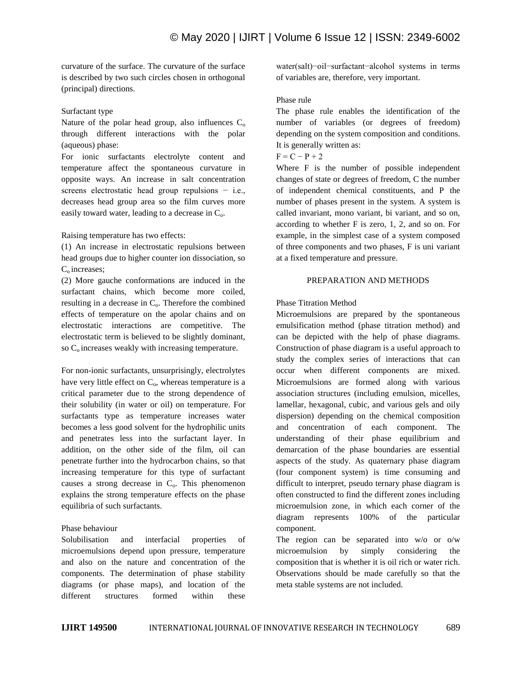curvature of the surface. The curvature of the surface is described by two such circles chosen in orthogonal (principal) directions.

#### Surfactant type

Nature of the polar head group, also influences  $C_0$ through different interactions with the polar (aqueous) phase:

For ionic surfactants electrolyte content and temperature affect the spontaneous curvature in opposite ways. An increase in salt concentration screens electrostatic head group repulsions − i.e., decreases head group area so the film curves more easily toward water, leading to a decrease in  $C<sub>o</sub>$ .

# Raising temperature has two effects:

(1) An increase in electrostatic repulsions between head groups due to higher counter ion dissociation, so C<sub>o</sub> increases;

(2) More gauche conformations are induced in the surfactant chains, which become more coiled, resulting in a decrease in  $C_0$ . Therefore the combined effects of temperature on the apolar chains and on electrostatic interactions are competitive. The electrostatic term is believed to be slightly dominant, so  $C<sub>o</sub>$  increases weakly with increasing temperature.

For non-ionic surfactants, unsurprisingly, electrolytes have very little effect on  $C_0$ , whereas temperature is a critical parameter due to the strong dependence of their solubility (in water or oil) on temperature. For surfactants type as temperature increases water becomes a less good solvent for the hydrophilic units and penetrates less into the surfactant layer. In addition, on the other side of the film, oil can penetrate further into the hydrocarbon chains, so that increasing temperature for this type of surfactant causes a strong decrease in  $C_0$ . This phenomenon explains the strong temperature effects on the phase equilibria of such surfactants.

# Phase behaviour

Solubilisation and interfacial properties of microemulsions depend upon pressure, temperature and also on the nature and concentration of the components. The determination of phase stability diagrams (or phase maps), and location of the different structures formed within these

water(salt)−oil−surfactant−alcohol systems in terms of variables are, therefore, very important.

# Phase rule

The phase rule enables the identification of the number of variables (or degrees of freedom) depending on the system composition and conditions. It is generally written as:

# $F = C - P + 2$

Where F is the number of possible independent changes of state or degrees of freedom, C the number of independent chemical constituents, and P the number of phases present in the system. A system is called invariant, mono variant, bi variant, and so on, according to whether F is zero, 1, 2, and so on. For example, in the simplest case of a system composed of three components and two phases, F is uni variant at a fixed temperature and pressure.

# PREPARATION AND METHODS

# Phase Titration Method

Microemulsions are prepared by the spontaneous emulsification method (phase titration method) and can be depicted with the help of phase diagrams. Construction of phase diagram is a useful approach to study the complex series of interactions that can occur when different components are mixed. Microemulsions are formed along with various association structures (including emulsion, micelles, lamellar, hexagonal, cubic, and various gels and oily dispersion) depending on the chemical composition and concentration of each component. The understanding of their phase equilibrium and demarcation of the phase boundaries are essential aspects of the study. As quaternary phase diagram (four component system) is time consuming and difficult to interpret, pseudo ternary phase diagram is often constructed to find the different zones including microemulsion zone, in which each corner of the diagram represents 100% of the particular component.

The region can be separated into w/o or o/w microemulsion by simply considering the composition that is whether it is oil rich or water rich. Observations should be made carefully so that the meta stable systems are not included.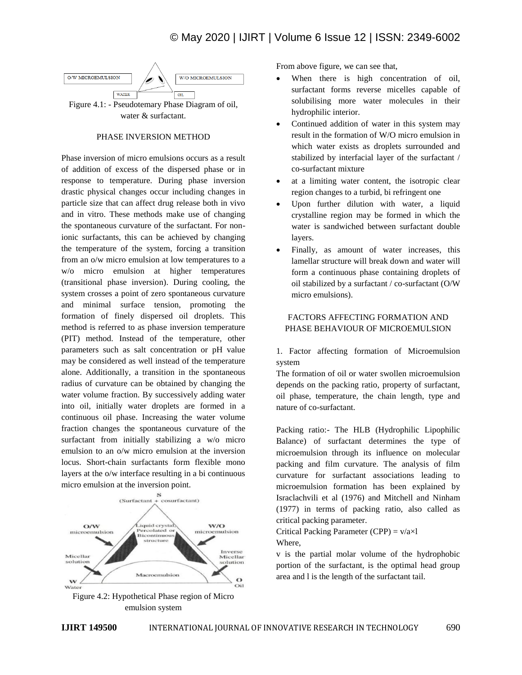

water & surfactant.

#### PHASE INVERSION METHOD

Phase inversion of micro emulsions occurs as a result of addition of excess of the dispersed phase or in response to temperature. During phase inversion drastic physical changes occur including changes in particle size that can affect drug release both in vivo and in vitro. These methods make use of changing the spontaneous curvature of the surfactant. For nonionic surfactants, this can be achieved by changing the temperature of the system, forcing a transition from an o/w micro emulsion at low temperatures to a w/o micro emulsion at higher temperatures (transitional phase inversion). During cooling, the system crosses a point of zero spontaneous curvature and minimal surface tension, promoting the formation of finely dispersed oil droplets. This method is referred to as phase inversion temperature (PIT) method. Instead of the temperature, other parameters such as salt concentration or pH value may be considered as well instead of the temperature alone. Additionally, a transition in the spontaneous radius of curvature can be obtained by changing the water volume fraction. By successively adding water into oil, initially water droplets are formed in a continuous oil phase. Increasing the water volume fraction changes the spontaneous curvature of the surfactant from initially stabilizing a w/o micro emulsion to an o/w micro emulsion at the inversion locus. Short-chain surfactants form flexible mono layers at the o/w interface resulting in a bi continuous micro emulsion at the inversion point.



Figure 4.2: Hypothetical Phase region of Micro emulsion system

From above figure, we can see that,

- When there is high concentration of oil, surfactant forms reverse micelles capable of solubilising more water molecules in their hydrophilic interior.
- Continued addition of water in this system may result in the formation of W/O micro emulsion in which water exists as droplets surrounded and stabilized by interfacial layer of the surfactant / co-surfactant mixture
- at a limiting water content, the isotropic clear region changes to a turbid, bi refringent one
- Upon further dilution with water, a liquid crystalline region may be formed in which the water is sandwiched between surfactant double layers.
- Finally, as amount of water increases, this lamellar structure will break down and water will form a continuous phase containing droplets of oil stabilized by a surfactant / co-surfactant (O/W micro emulsions).

# FACTORS AFFECTING FORMATION AND PHASE BEHAVIOUR OF MICROEMULSION

1. Factor affecting formation of Microemulsion system

The formation of oil or water swollen microemulsion depends on the packing ratio, property of surfactant, oil phase, temperature, the chain length, type and nature of co-surfactant.

Packing ratio:- The HLB (Hydrophilic Lipophilic Balance) of surfactant determines the type of microemulsion through its influence on molecular packing and film curvature. The analysis of film curvature for surfactant associations leading to microemulsion formation has been explained by Israclachvili et al (1976) and Mitchell and Ninham (1977) in terms of packing ratio, also called as critical packing parameter.

Critical Packing Parameter (CPP) =  $v/a \times l$ Where,

v is the partial molar volume of the hydrophobic portion of the surfactant, is the optimal head group area and l is the length of the surfactant tail.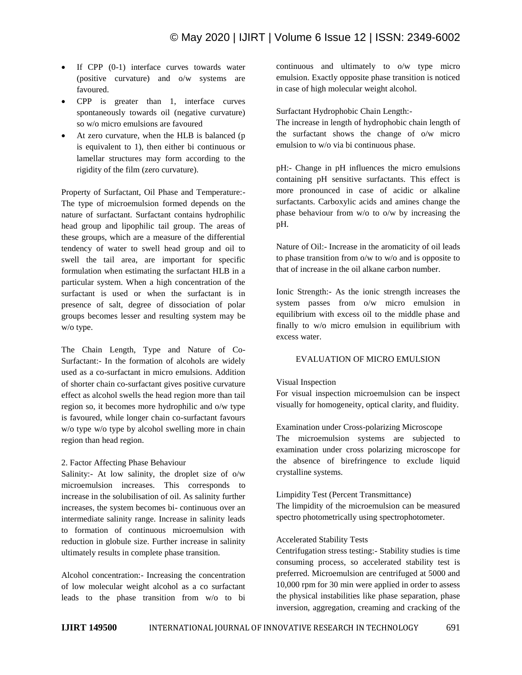- $\bullet$  If CPP (0-1) interface curves towards water (positive curvature) and o/w systems are favoured.
- CPP is greater than 1, interface curves spontaneously towards oil (negative curvature) so w/o micro emulsions are favoured
- At zero curvature, when the HLB is balanced (p is equivalent to 1), then either bi continuous or lamellar structures may form according to the rigidity of the film (zero curvature).

Property of Surfactant, Oil Phase and Temperature:- The type of microemulsion formed depends on the nature of surfactant. Surfactant contains hydrophilic head group and lipophilic tail group. The areas of these groups, which are a measure of the differential tendency of water to swell head group and oil to swell the tail area, are important for specific formulation when estimating the surfactant HLB in a particular system. When a high concentration of the surfactant is used or when the surfactant is in presence of salt, degree of dissociation of polar groups becomes lesser and resulting system may be w/o type.

The Chain Length, Type and Nature of Co-Surfactant:- In the formation of alcohols are widely used as a co-surfactant in micro emulsions. Addition of shorter chain co-surfactant gives positive curvature effect as alcohol swells the head region more than tail region so, it becomes more hydrophilic and o/w type is favoured, while longer chain co-surfactant favours w/o type w/o type by alcohol swelling more in chain region than head region.

#### 2. Factor Affecting Phase Behaviour

Salinity:- At low salinity, the droplet size of o/w microemulsion increases. This corresponds to increase in the solubilisation of oil. As salinity further increases, the system becomes bi- continuous over an intermediate salinity range. Increase in salinity leads to formation of continuous microemulsion with reduction in globule size. Further increase in salinity ultimately results in complete phase transition.

Alcohol concentration:- Increasing the concentration of low molecular weight alcohol as a co surfactant leads to the phase transition from w/o to bi continuous and ultimately to o/w type micro emulsion. Exactly opposite phase transition is noticed in case of high molecular weight alcohol.

Surfactant Hydrophobic Chain Length:-

The increase in length of hydrophobic chain length of the surfactant shows the change of o/w micro emulsion to w/o via bi continuous phase.

pH:- Change in pH influences the micro emulsions containing pH sensitive surfactants. This effect is more pronounced in case of acidic or alkaline surfactants. Carboxylic acids and amines change the phase behaviour from w/o to o/w by increasing the pH.

Nature of Oil:- Increase in the aromaticity of oil leads to phase transition from o/w to w/o and is opposite to that of increase in the oil alkane carbon number.

Ionic Strength:- As the ionic strength increases the system passes from o/w micro emulsion in equilibrium with excess oil to the middle phase and finally to w/o micro emulsion in equilibrium with excess water.

# EVALUATION OF MICRO EMULSION

#### Visual Inspection

For visual inspection microemulsion can be inspect visually for homogeneity, optical clarity, and fluidity.

Examination under Cross-polarizing Microscope

The microemulsion systems are subjected to examination under cross polarizing microscope for the absence of birefringence to exclude liquid crystalline systems.

#### Limpidity Test (Percent Transmittance)

The limpidity of the microemulsion can be measured spectro photometrically using spectrophotometer.

# Accelerated Stability Tests

Centrifugation stress testing:- Stability studies is time consuming process, so accelerated stability test is preferred. Microemulsion are centrifuged at 5000 and 10,000 rpm for 30 min were applied in order to assess the physical instabilities like phase separation, phase inversion, aggregation, creaming and cracking of the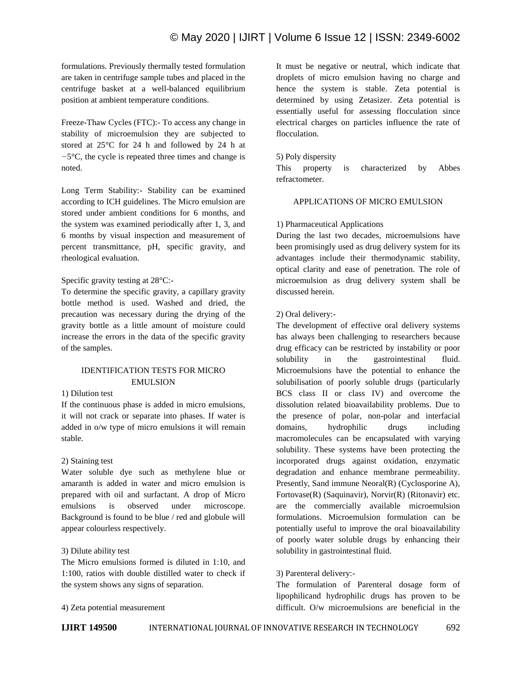# © May 2020 | IJIRT | Volume 6 Issue 12 | ISSN: 2349-6002

formulations. Previously thermally tested formulation are taken in centrifuge sample tubes and placed in the centrifuge basket at a well-balanced equilibrium position at ambient temperature conditions.

Freeze-Thaw Cycles (FTC):- To access any change in stability of microemulsion they are subjected to stored at 25°C for 24 h and followed by 24 h at *−*5°C, the cycle is repeated three times and change is noted.

Long Term Stability:- Stability can be examined according to ICH guidelines. The Micro emulsion are stored under ambient conditions for 6 months, and the system was examined periodically after 1, 3, and 6 months by visual inspection and measurement of percent transmittance, pH, specific gravity, and rheological evaluation.

# Specific gravity testing at 28°C:-

To determine the specific gravity, a capillary gravity bottle method is used. Washed and dried, the precaution was necessary during the drying of the gravity bottle as a little amount of moisture could increase the errors in the data of the specific gravity of the samples.

# IDENTIFICATION TESTS FOR MICRO EMULSION

# 1) Dilution test

If the continuous phase is added in micro emulsions, it will not crack or separate into phases. If water is added in o/w type of micro emulsions it will remain stable.

#### 2) Staining test

Water soluble dye such as methylene blue or amaranth is added in water and micro emulsion is prepared with oil and surfactant. A drop of Micro emulsions is observed under microscope. Background is found to be blue / red and globule will appear colourless respectively.

#### 3) Dilute ability test

The Micro emulsions formed is diluted in 1:10, and 1:100, ratios with double distilled water to check if the system shows any signs of separation.

#### 4) Zeta potential measurement

It must be negative or neutral, which indicate that droplets of micro emulsion having no charge and hence the system is stable. Zeta potential is determined by using Zetasizer. Zeta potential is essentially useful for assessing flocculation since electrical charges on particles influence the rate of flocculation.

#### 5) Poly dispersity

This property is characterized by Abbes refractometer.

# APPLICATIONS OF MICRO EMULSION

# 1) Pharmaceutical Applications

During the last two decades, microemulsions have been promisingly used as drug delivery system for its advantages include their thermodynamic stability, optical clarity and ease of penetration. The role of microemulsion as drug delivery system shall be discussed herein.

#### 2) Oral delivery:-

The development of effective oral delivery systems has always been challenging to researchers because drug efficacy can be restricted by instability or poor solubility in the gastrointestinal fluid. Microemulsions have the potential to enhance the solubilisation of poorly soluble drugs (particularly BCS class II or class IV) and overcome the dissolution related bioavailability problems. Due to the presence of polar, non-polar and interfacial domains, hydrophilic drugs including macromolecules can be encapsulated with varying solubility. These systems have been protecting the incorporated drugs against oxidation, enzymatic degradation and enhance membrane permeability. Presently, Sand immune Neoral(R) (Cyclosporine A), Fortovase(R) (Saquinavir), Norvir(R) (Ritonavir) etc. are the commercially available microemulsion formulations. Microemulsion formulation can be potentially useful to improve the oral bioavailability of poorly water soluble drugs by enhancing their solubility in gastrointestinal fluid.

#### 3) Parenteral delivery:-

The formulation of Parenteral dosage form of lipophilicand hydrophilic drugs has proven to be difficult. O/w microemulsions are beneficial in the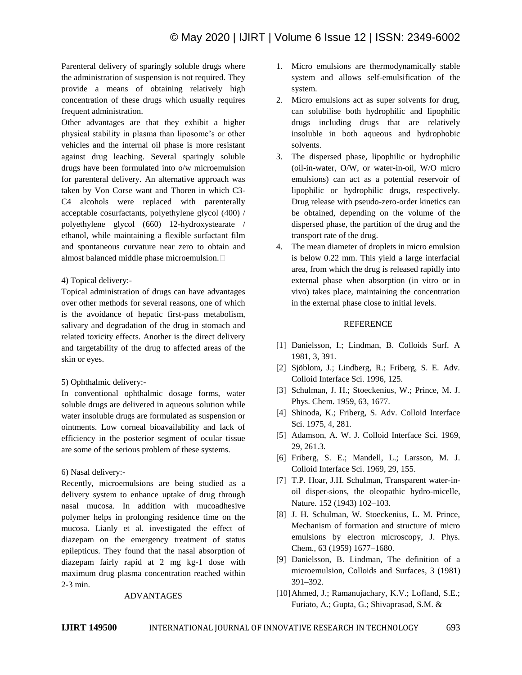Parenteral delivery of sparingly soluble drugs where the administration of suspension is not required. They provide a means of obtaining relatively high concentration of these drugs which usually requires frequent administration.

Other advantages are that they exhibit a higher physical stability in plasma than liposome's or other vehicles and the internal oil phase is more resistant against drug leaching. Several sparingly soluble drugs have been formulated into o/w microemulsion for parenteral delivery. An alternative approach was taken by Von Corse want and Thoren in which C3- C4 alcohols were replaced with parenterally acceptable cosurfactants, polyethylene glycol (400) / polyethylene glycol (660) 12-hydroxystearate / ethanol, while maintaining a flexible surfactant film and spontaneous curvature near zero to obtain and almost balanced middle phase microemulsion.

# 4) Topical delivery:-

Topical administration of drugs can have advantages over other methods for several reasons, one of which is the avoidance of hepatic first-pass metabolism, salivary and degradation of the drug in stomach and related toxicity effects. Another is the direct delivery and targetability of the drug to affected areas of the skin or eyes.

# 5) Ophthalmic delivery:-

In conventional ophthalmic dosage forms, water soluble drugs are delivered in aqueous solution while water insoluble drugs are formulated as suspension or ointments. Low corneal bioavailability and lack of efficiency in the posterior segment of ocular tissue are some of the serious problem of these systems.

#### 6) Nasal delivery:-

Recently, microemulsions are being studied as a delivery system to enhance uptake of drug through nasal mucosa. In addition with mucoadhesive polymer helps in prolonging residence time on the mucosa. Lianly et al. investigated the effect of diazepam on the emergency treatment of status epilepticus. They found that the nasal absorption of diazepam fairly rapid at 2 mg kg-1 dose with maximum drug plasma concentration reached within 2-3 min.

#### ADVANTAGES

- 1. Micro emulsions are thermodynamically stable system and allows self-emulsification of the system.
- 2. Micro emulsions act as super solvents for drug, can solubilise both hydrophilic and lipophilic drugs including drugs that are relatively insoluble in both aqueous and hydrophobic solvents.
- 3. The dispersed phase, lipophilic or hydrophilic (oil-in-water, O/W, or water-in-oil, W/O micro emulsions) can act as a potential reservoir of lipophilic or hydrophilic drugs, respectively. Drug release with pseudo-zero-order kinetics can be obtained, depending on the volume of the dispersed phase, the partition of the drug and the transport rate of the drug.
- 4. The mean diameter of droplets in micro emulsion is below 0.22 mm. This yield a large interfacial area, from which the drug is released rapidly into external phase when absorption (in vitro or in vivo) takes place, maintaining the concentration in the external phase close to initial levels.

# **REFERENCE**

- [1] Danielsson, I.; Lindman, B. Colloids Surf. A 1981, 3, 391.
- [2] Sjöblom, J.; Lindberg, R.; Friberg, S. E. Adv. Colloid Interface Sci. 1996, 125.
- [3] Schulman, J. H.; Stoeckenius, W.; Prince, M. J. Phys. Chem. 1959, 63, 1677.
- [4] Shinoda, K.; Friberg, S. Adv. Colloid Interface Sci. 1975, 4, 281.
- [5] Adamson, A. W. J. Colloid Interface Sci. 1969, 29, 261.3.
- [6] Friberg, S. E.; Mandell, L.; Larsson, M. J. Colloid Interface Sci. 1969, 29, 155.
- [7] T.P. Hoar, J.H. Schulman, Transparent water-inoil disper-sions, the oleopathic hydro-micelle, Nature. 152 (1943) 102–103.
- [8] J. H. Schulman, W. Stoeckenius, L. M. Prince, Mechanism of formation and structure of micro emulsions by electron microscopy, J. Phys. Chem., 63 (1959) 1677–1680.
- [9] Danielsson, B. Lindman, The definition of a microemulsion, Colloids and Surfaces, 3 (1981) 391–392.
- [10]Ahmed, J.; Ramanujachary, K.V.; Lofland, S.E.; Furiato, A.; Gupta, G.; Shivaprasad, S.M. &